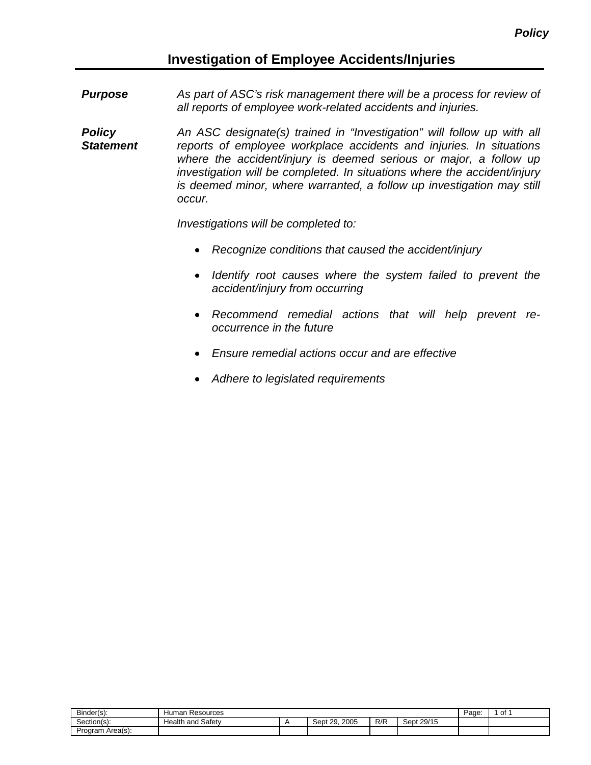## **Investigation of Employee Accidents/Injuries**

- *Purpose As part of ASC's risk management there will be a process for review of all reports of employee work-related accidents and injuries.*
- *Policy Statement An ASC designate(s) trained in "Investigation" will follow up with all reports of employee workplace accidents and injuries. In situations where the accident/injury is deemed serious or major, a follow up investigation will be completed. In situations where the accident/injury is deemed minor, where warranted, a follow up investigation may still occur.*

*Investigations will be completed to:*

- *Recognize conditions that caused the accident/injury*
- *Identify root causes where the system failed to prevent the accident/injury from occurring*
- *Recommend remedial actions that will help prevent reoccurrence in the future*
- *Ensure remedial actions occur and are effective*
- *Adhere to legislated requirements*

| Binder(s):            | Human<br>Resources       | Pane<br>aue      | 0t  |            |  |  |
|-----------------------|--------------------------|------------------|-----|------------|--|--|
| $\sim$<br>Section(s): | Safety<br>Health<br>∍and | 2005<br>Sept 29. | R/R | Sept 29/15 |  |  |
| Area(s):<br>Program   |                          |                  |     |            |  |  |